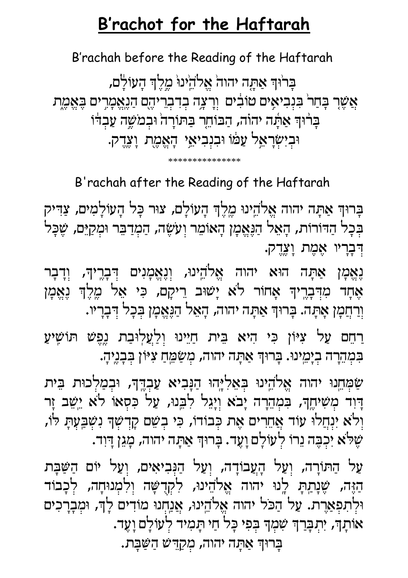## B'rachot for the Haftarah

B'rachah before the Reading of the Haftarah

בָרוּדְ אַתֶּה יהוה אֱלֹהֵינוּ מֶלֶדְ הָעוֹלָם, אֲשֶׁרָ בְּחַרֹ בִּנְבִיאָים טוֹבִים וְרָצְה בְדִבְרִיהֶם הַנֶאֱמָרִים בָּאֱמֶת בָרוּךְ אַתָּה יהוֹה, הַבּוֹחֵר בַּתּוֹרָה וּבִמֹשֶׁה עַבְדֹּו וּבְיִשְׂרָאֵל עַמּׁוֹ וּבִנְבִיאֵי הָאֱמֶת וָעֶדֶק.

\*\*\*\*\*\*\*\*\*\*\*\*\*\*\*

B'rachah after the Reading of the Haftarah

בָרוּךְ אַתָּה יהוה אֱלֹהֵינוּ מֶלֶךְ הָעוֹלָם, צוּר כָּל הָעוֹלָמִים, צַדִּיק בְּבָל הַדּוֹרוֹת, הָאֵל הַנֶּאֱמָן הָאוֹמֵר וְעֹשֶׂה, הַמְרַבֵּר וּמְקַיֵּם, שֶּׁבָּל דִּבְרָיוּ אֶמֶת וָעֲדֵק.

נָאֱמָן אַתָּה הוּא יהוה אֱלֹהֵינוּ, וְנֶאֱמָנִים דְּבְרֶיךָ, וְדָבָר אֶחָד מִדְּבְרֶיךָ אֲחֹוֹר לֹא יָשׁוּב רֵיקָם, כִּי אֵל מֶלֶךְ נָאֱמֶן וְרַחֲמָן אָתְה. בְּרוּךְ אַתְה יהוה, הָאֵל הַנֶּאֱמָן בִּכַל דִּבָרִיו.

ַרְחֵם עַל צִיּוֹן כִּי הִיא בֵּית חַיֵּינוּ וְלַעֲלְוּבַת נֶפֶּשׁ תּוֹשָׁיעַ בִּמְהֵרָה בְיָמֵינוּ. בְּרוּךְ אַתְה יהוה, מְשַׂמֵּחַ צִיּוֹן בְּבָנֶיהָ.

שַׂמְחֵנוּ יהוה אֱלֹהֵינוּ בִּאֲלִיְּהוּ הַנָּבִיא עַבְדֶךָ, וּבִמַלִכוּת בֵּית דְוִד מְשִׁיחֶךָ, בִּמְהֵרָה יָבֹא וְיָגֵל לִבֵנוּ, עַל כִּסְאוֹ לֹא יֵשֵׁב זַר וְלֹא יִנְחֲלוּ עַוֹד אֲחֵרִים אֶת כְּבוֹדוֹ, כִּי בְשֵׁם קַדְשְׁךָ נִשְּׁבַעְתָּ לֹו, שֶׁלֹּא יִכְבָּה נֵרוֹ לְעוֹלָם וָעֶד. בְּרוּךְ אַתָּה יהוה, מָגֵן דְּוִד.

עַל הַתּוֹרָה, וְעַל הָעֲבוֹדָה, וְעַל הַנִּבִיאִים, וְעַל יוֹם הַשַּּבָּת הַזֶּה, שֶׁנְתַתְּ לְנוּ יהוה אֱלֹהֵינוּ, לִקְדָשָּׁה וְלִמְנוּחָה, לִכָבוֹד וּלְתִפְאַרֶת. עַל הַכֹּל יהוה אֱלֹהֵינוּ, אֲנַחְנוּ מוֹדִים לָןּ, וּמְבָרָכִים אּוֹתָךָ, יִתְבְּרַךְ שִׁמְךָּ בְּפִי כָּל חַי תָּמִיד לְעוֹלָם וָעֶד.

בַרוּךְ אַתָּה יהוה, מִקַדִּשׁ הַשַּׁבָּת.